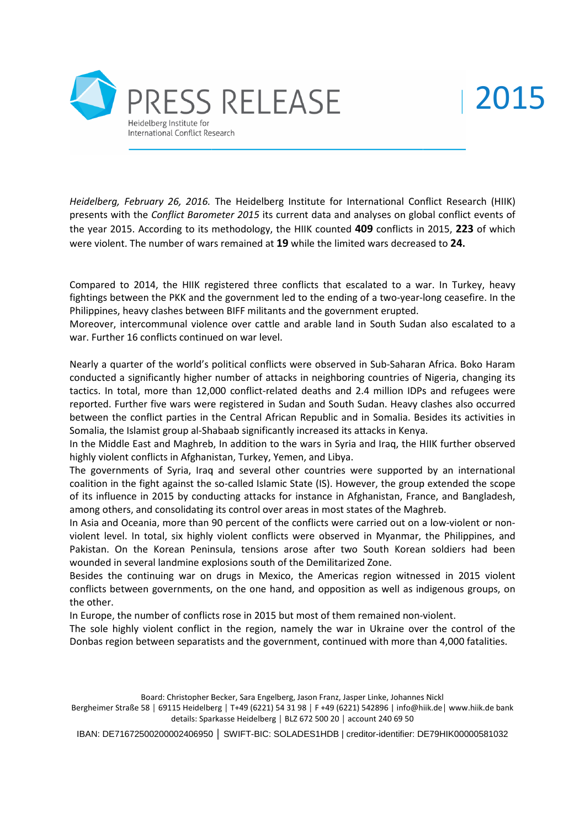

Heidelberg, February 26, 2016. The Heidelberg Institute for International Conflict Research (HIIK) presents with the Conflict Barometer 2015 its current data and analyses on global conflict events of the year 2015. According to its methodology, the HIIK counted **409** conflicts in 2015, were violent. The number of wars remained at **19** while the limited wars decreased to **24.**

Compared to 2014, the HIIK registered three conflicts that escalated to a war. In Turkey, heavy fightings between the PKK and the government led to the ending of a two-year-long ceasefire. In the Philippines, heavy clashes between BIFF militants and the government erupted. fightings between the PKK and the government led to the ending of a two-year-long ceasefire. In the<br>Philippines, heavy clashes between BIFF militants and the government erupted.<br>Moreover, intercommunal violence over cattle

war. Further 16 conflicts continued on war level.

Nearly a quarter of the world's political conflicts were observed in Sub-Saharan Africa. Boko Haram<br>conducted a significantly higher number of attacks in neighboring countries of Nigeria, changing its conducted a significantly higher number of attacks in neighboring countries of Nigeria, tactics. In total, more than 12,000 conflict-related deaths and 2.4 million IDPs and refugees were reported. Further five wars were registered in Sudan and South Sudan. Heavy clashes also occurred between the conflict parties in the Central African Republic and in Somalia. Besides its activities in Somalia, the Islamist group al-Shabaab significantly increased its attacks in Kenya. conflicts in 2015, 223 of which<br>the state decreased to 24.<br>and to a war. In Turkey, heavy<br>two-year-long ceasefire. In the<br>erupted.<br>abth Sudan also escalated to a<br>hb-Saharan Africa. Boko Haram<br>untries of Nigeria, changing i

In the Middle East and Maghreb, In addition to the wars in Syria and Iraq, the HIIK further observed highly violent conflicts in Afghanistan, Turkey, Yemen, and Libya.

The governments of Syria, Iraq and several other countries were supported by an international coalition in the fight against the so-called Islamic State (IS). However, the group extended the scope of its influence in 2015 by conducting attacks for instance in Afghanistan, France, and Bangladesh, among others, and consolidating its control over areas in most states of the Maghreb. e Islamist group al-Shabaab significantly increased its attacks in Kenya.<br>Ile East and Maghreb, In addition to the wars in Syria and Iraq, the HIIK further observed<br>int conflicts in Afghanistan, Turkey, Yemen, and Libya.<br>I conflict-related deaths and 2.4 million IDPs and refugees were<br>gistered in Sudan and South Sudan. Heavy clashes also occurred<br>Central African Republic and in Somalia. Besides its activities in<br>ab significantly increased it

In Asia and Oceania, more than 90 percent of the conflicts were carried out on a low violent level. In total, six highly violent conflicts were observed in Myanmar, the Philippines, and Pakistan. On the Korean Peninsula, tensions arose after two South Korean soldiers had been wounded in several landmine explosions south of the Demilitarized Zone.

Besides the continuing war on drugs in Mexico, the Americas region witnessed in 2015 violent conflicts between governments, on the one hand, and opposition as well as indigenous groups, on the other. o, the Americas region witnessed in 2015 violend, and opposition as well as indigenous groups, o<br>ut most of them remained non-violent.<br>amely the war in Ukraine over the control of the<br>rnment, continued with more than 4,000

In Europe, the number of conflicts rose in 2015 but most of them remained non-violent.

The sole highly violent conflict in the region, namely the war in Ukraine over the control of the Donbas region between separatists and the government, continued with more than 4,000 fatalities.

Board: Christopher Becker, Sara Engelberg, Jason Franz, Jasper Linke, Johannes Nickl

Bergheimer Straße 58 | 69115 Heidelberg | T+49 (6221) 54 31 98 | F +49 (6221) 542896 | info@hiik.de| www.hiik.de bank details: Sparkasse Heidelberg │ BLZ 672 500 20 │ account 240 69 50

IBAN: DE71672500200002406950 │ SWIFT-BIC: SOLADES1HDB | creditor-identifier: DE79HIK00000581032